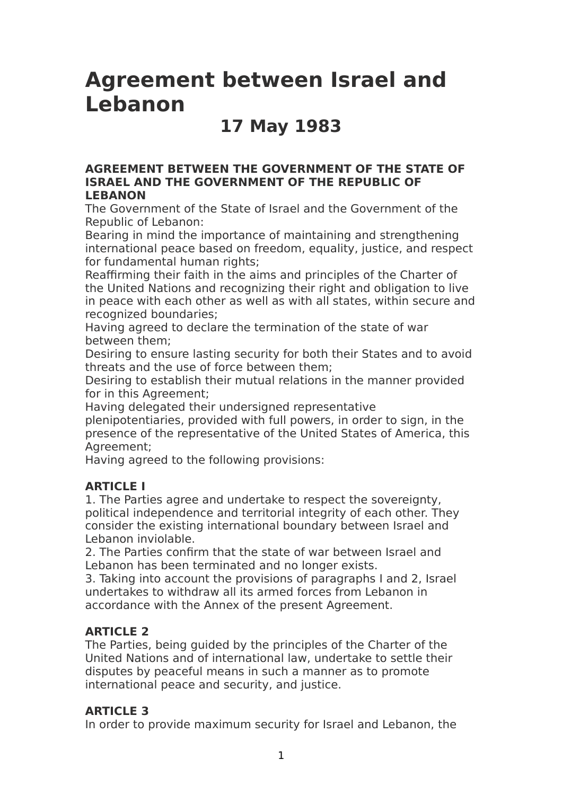# **Agreement between Israel and Lebanon**

## **17 May 1983**

#### **AGREEMENT BETWEEN THE GOVERNMENT OF THE STATE OF ISRAEL AND THE GOVERNMENT OF THE REPUBLIC OF LEBANON**

The Government of the State of Israel and the Government of the Republic of Lebanon:

Bearing in mind the importance of maintaining and strengthening international peace based on freedom, equality, justice, and respect for fundamental human rights;

Reaffirming their faith in the aims and principles of the Charter of the United Nations and recognizing their right and obligation to live in peace with each other as well as with all states, within secure and recognized boundaries;

Having agreed to declare the termination of the state of war between them;

Desiring to ensure lasting security for both their States and to avoid threats and the use of force between them;

Desiring to establish their mutual relations in the manner provided for in this Agreement;

Having delegated their undersigned representative

plenipotentiaries, provided with full powers, in order to sign, in the presence of the representative of the United States of America, this Agreement;

Having agreed to the following provisions:

### **ARTICLE I**

1. The Parties agree and undertake to respect the sovereignty, political independence and territorial integrity of each other. They consider the existing international boundary between Israel and Lebanon inviolable.

2. The Parties confirm that the state of war between Israel and Lebanon has been terminated and no longer exists.

3. Taking into account the provisions of paragraphs I and 2, Israel undertakes to withdraw all its armed forces from Lebanon in accordance with the Annex of the present Agreement.

### **ARTICLE 2**

The Parties, being guided by the principles of the Charter of the United Nations and of international law, undertake to settle their disputes by peaceful means in such a manner as to promote international peace and security, and justice.

### **ARTICLE 3**

In order to provide maximum security for Israel and Lebanon, the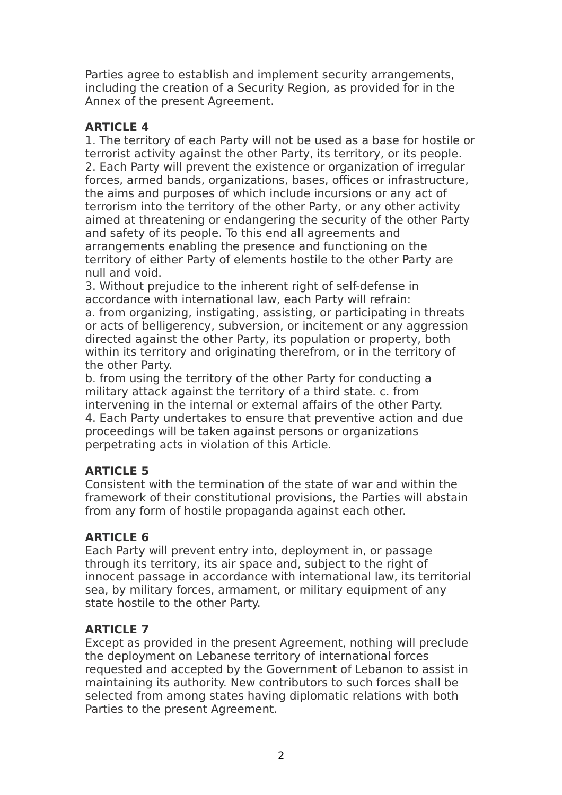Parties agree to establish and implement security arrangements, including the creation of a Security Region, as provided for in the Annex of the present Agreement.

### **ARTICLE 4**

1. The territory of each Party will not be used as a base for hostile or terrorist activity against the other Party, its territory, or its people. 2. Each Party will prevent the existence or organization of irregular forces, armed bands, organizations, bases, offices or infrastructure, the aims and purposes of which include incursions or any act of terrorism into the territory of the other Party, or any other activity aimed at threatening or endangering the security of the other Party and safety of its people. To this end all agreements and arrangements enabling the presence and functioning on the territory of either Party of elements hostile to the other Party are null and void.

3. Without prejudice to the inherent right of self-defense in accordance with international law, each Party will refrain: a. from organizing, instigating, assisting, or participating in threats or acts of belligerency, subversion, or incitement or any aggression directed against the other Party, its population or property, both within its territory and originating therefrom, or in the territory of the other Party.

b. from using the territory of the other Party for conducting a military attack against the territory of a third state. c. from intervening in the internal or external affairs of the other Party. 4. Each Party undertakes to ensure that preventive action and due proceedings will be taken against persons or organizations perpetrating acts in violation of this Article.

### **ARTICLE 5**

Consistent with the termination of the state of war and within the framework of their constitutional provisions, the Parties will abstain from any form of hostile propaganda against each other.

### **ARTICLE 6**

Each Party will prevent entry into, deployment in, or passage through its territory, its air space and, subject to the right of innocent passage in accordance with international law, its territorial sea, by military forces, armament, or military equipment of any state hostile to the other Party.

### **ARTICLE 7**

Except as provided in the present Agreement, nothing will preclude the deployment on Lebanese territory of international forces requested and accepted by the Government of Lebanon to assist in maintaining its authority. New contributors to such forces shall be selected from among states having diplomatic relations with both Parties to the present Agreement.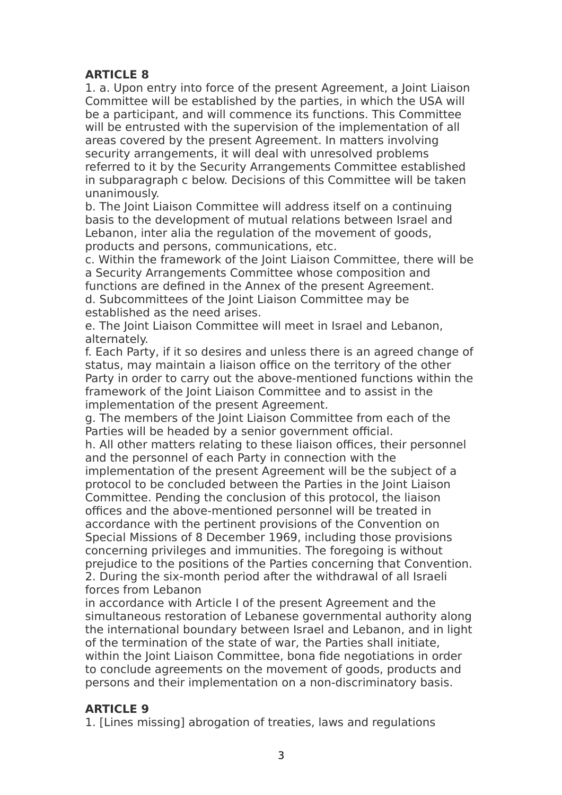### **ARTICLE 8**

1. a. Upon entry into force of the present Agreement, a Joint Liaison Committee will be established by the parties, in which the USA will be a participant, and will commence its functions. This Committee will be entrusted with the supervision of the implementation of all areas covered by the present Agreement. In matters involving security arrangements, it will deal with unresolved problems referred to it by the Security Arrangements Committee established in subparagraph c below. Decisions of this Committee will be taken unanimously.

b. The Joint Liaison Committee will address itself on a continuing basis to the development of mutual relations between Israel and Lebanon, inter alia the regulation of the movement of goods, products and persons, communications, etc.

c. Within the framework of the Joint Liaison Committee, there will be a Security Arrangements Committee whose composition and functions are defined in the Annex of the present Agreement. d. Subcommittees of the Joint Liaison Committee may be established as the need arises.

e. The Joint Liaison Committee will meet in Israel and Lebanon, alternately.

f. Each Party, if it so desires and unless there is an agreed change of status, may maintain a liaison office on the territory of the other Party in order to carry out the above-mentioned functions within the framework of the Joint Liaison Committee and to assist in the implementation of the present Agreement.

g. The members of the Joint Liaison Committee from each of the Parties will be headed by a senior government official.

h. All other matters relating to these liaison offices, their personnel and the personnel of each Party in connection with the

implementation of the present Agreement will be the subject of a protocol to be concluded between the Parties in the Joint Liaison Committee. Pending the conclusion of this protocol, the liaison offices and the above-mentioned personnel will be treated in accordance with the pertinent provisions of the Convention on Special Missions of 8 December 1969, including those provisions concerning privileges and immunities. The foregoing is without prejudice to the positions of the Parties concerning that Convention. 2. During the six-month period after the withdrawal of all Israeli forces from Lebanon

in accordance with Article I of the present Agreement and the simultaneous restoration of Lebanese governmental authority along the international boundary between Israel and Lebanon, and in light of the termination of the state of war, the Parties shall initiate, within the Joint Liaison Committee, bona fide negotiations in order to conclude agreements on the movement of goods, products and persons and their implementation on a non-discriminatory basis.

### **ARTICLE 9**

1. [Lines missing] abrogation of treaties, laws and regulations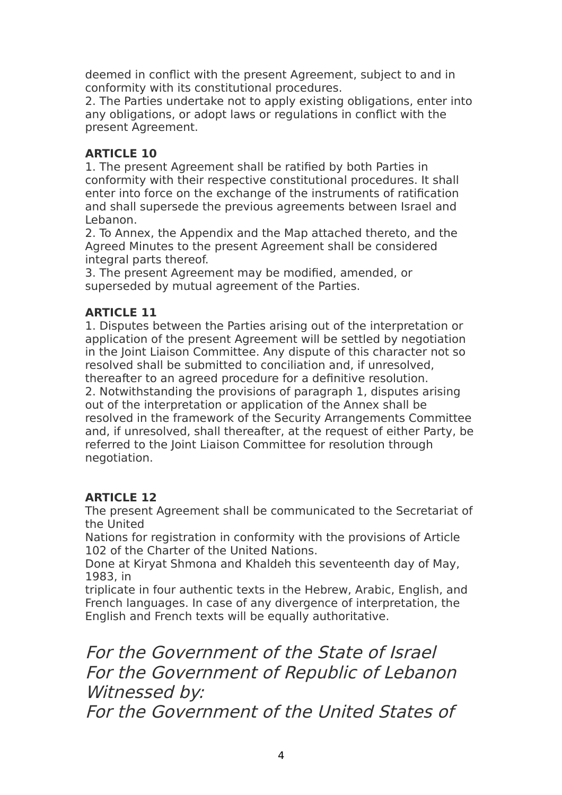deemed in conflict with the present Agreement, subject to and in conformity with its constitutional procedures.

2. The Parties undertake not to apply existing obligations, enter into any obligations, or adopt laws or regulations in conflict with the present Agreement.

### **ARTICLE 10**

1. The present Agreement shall be ratified by both Parties in conformity with their respective constitutional procedures. It shall enter into force on the exchange of the instruments of ratification and shall supersede the previous agreements between Israel and Lebanon.

2. To Annex, the Appendix and the Map attached thereto, and the Agreed Minutes to the present Agreement shall be considered integral parts thereof.

3. The present Agreement may be modified, amended, or superseded by mutual agreement of the Parties.

### **ARTICLE 11**

1. Disputes between the Parties arising out of the interpretation or application of the present Agreement will be settled by negotiation in the Joint Liaison Committee. Any dispute of this character not so resolved shall be submitted to conciliation and, if unresolved, thereafter to an agreed procedure for a definitive resolution.

2. Notwithstanding the provisions of paragraph 1, disputes arising out of the interpretation or application of the Annex shall be resolved in the framework of the Security Arrangements Committee and, if unresolved, shall thereafter, at the request of either Party, be referred to the Joint Liaison Committee for resolution through negotiation.

### **ARTICLE 12**

The present Agreement shall be communicated to the Secretariat of the United

Nations for registration in conformity with the provisions of Article 102 of the Charter of the United Nations.

Done at Kiryat Shmona and Khaldeh this seventeenth day of May, 1983, in

triplicate in four authentic texts in the Hebrew, Arabic, English, and French languages. In case of any divergence of interpretation, the English and French texts will be equally authoritative.

For the Government of the State of Israel For the Government of Republic of Lebanon Witnessed by:

For the Government of the United States of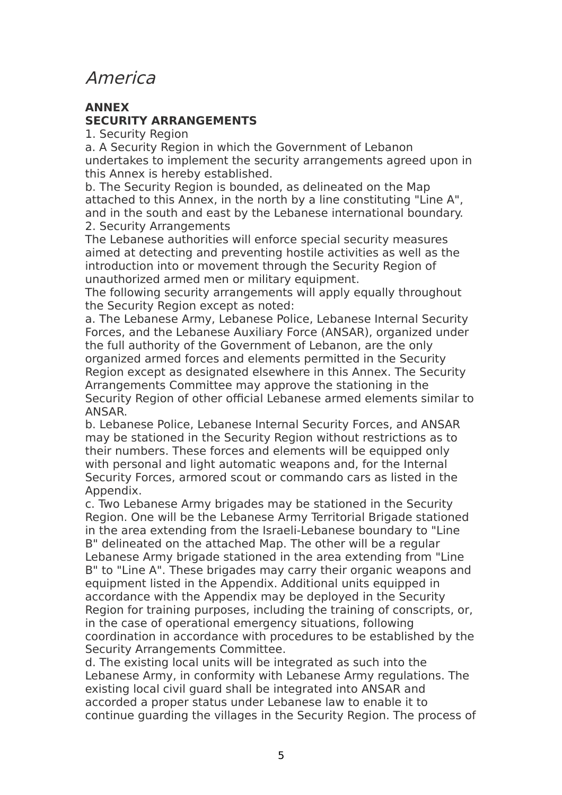### America

#### **ANNEX SECURITY ARRANGEMENTS**

1. Security Region

a. A Security Region in which the Government of Lebanon undertakes to implement the security arrangements agreed upon in this Annex is hereby established.

b. The Security Region is bounded, as delineated on the Map attached to this Annex, in the north by a line constituting "Line A", and in the south and east by the Lebanese international boundary. 2. Security Arrangements

The Lebanese authorities will enforce special security measures aimed at detecting and preventing hostile activities as well as the introduction into or movement through the Security Region of unauthorized armed men or military equipment.

The following security arrangements will apply equally throughout the Security Region except as noted:

a. The Lebanese Army, Lebanese Police, Lebanese Internal Security Forces, and the Lebanese Auxiliary Force (ANSAR), organized under the full authority of the Government of Lebanon, are the only organized armed forces and elements permitted in the Security Region except as designated elsewhere in this Annex. The Security Arrangements Committee may approve the stationing in the Security Region of other official Lebanese armed elements similar to ANSAR.

b. Lebanese Police, Lebanese Internal Security Forces, and ANSAR may be stationed in the Security Region without restrictions as to their numbers. These forces and elements will be equipped only with personal and light automatic weapons and, for the Internal Security Forces, armored scout or commando cars as listed in the Appendix.

c. Two Lebanese Army brigades may be stationed in the Security Region. One will be the Lebanese Army Territorial Brigade stationed in the area extending from the Israeli-Lebanese boundary to "Line B" delineated on the attached Map. The other will be a regular Lebanese Army brigade stationed in the area extending from "Line B" to "Line A". These brigades may carry their organic weapons and equipment listed in the Appendix. Additional units equipped in accordance with the Appendix may be deployed in the Security Region for training purposes, including the training of conscripts, or, in the case of operational emergency situations, following coordination in accordance with procedures to be established by the Security Arrangements Committee.

d. The existing local units will be integrated as such into the Lebanese Army, in conformity with Lebanese Army regulations. The existing local civil guard shall be integrated into ANSAR and accorded a proper status under Lebanese law to enable it to continue guarding the villages in the Security Region. The process of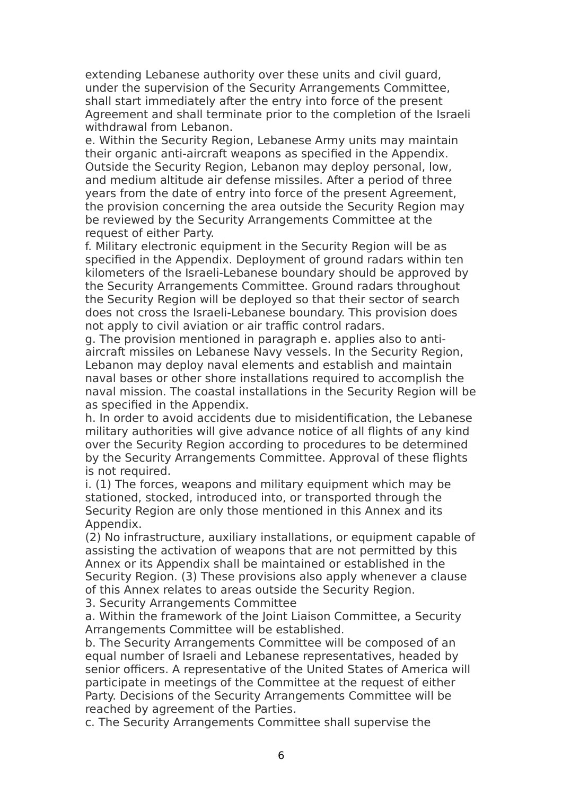extending Lebanese authority over these units and civil guard, under the supervision of the Security Arrangements Committee, shall start immediately after the entry into force of the present Agreement and shall terminate prior to the completion of the Israeli withdrawal from Lebanon.

e. Within the Security Region, Lebanese Army units may maintain their organic anti-aircraft weapons as specified in the Appendix. Outside the Security Region, Lebanon may deploy personal, low, and medium altitude air defense missiles. After a period of three years from the date of entry into force of the present Agreement, the provision concerning the area outside the Security Region may be reviewed by the Security Arrangements Committee at the request of either Party.

f. Military electronic equipment in the Security Region will be as specified in the Appendix. Deployment of ground radars within ten kilometers of the Israeli-Lebanese boundary should be approved by the Security Arrangements Committee. Ground radars throughout the Security Region will be deployed so that their sector of search does not cross the Israeli-Lebanese boundary. This provision does not apply to civil aviation or air traffic control radars.

g. The provision mentioned in paragraph e. applies also to antiaircraft missiles on Lebanese Navy vessels. In the Security Region, Lebanon may deploy naval elements and establish and maintain naval bases or other shore installations required to accomplish the naval mission. The coastal installations in the Security Region will be as specified in the Appendix.

h. In order to avoid accidents due to misidentification, the Lebanese military authorities will give advance notice of all flights of any kind over the Security Region according to procedures to be determined by the Security Arrangements Committee. Approval of these flights is not required.

i. (1) The forces, weapons and military equipment which may be stationed, stocked, introduced into, or transported through the Security Region are only those mentioned in this Annex and its Appendix.

(2) No infrastructure, auxiliary installations, or equipment capable of assisting the activation of weapons that are not permitted by this Annex or its Appendix shall be maintained or established in the Security Region. (3) These provisions also apply whenever a clause of this Annex relates to areas outside the Security Region.

3. Security Arrangements Committee

a. Within the framework of the Joint Liaison Committee, a Security Arrangements Committee will be established.

b. The Security Arrangements Committee will be composed of an equal number of Israeli and Lebanese representatives, headed by senior officers. A representative of the United States of America will participate in meetings of the Committee at the request of either Party. Decisions of the Security Arrangements Committee will be reached by agreement of the Parties.

c. The Security Arrangements Committee shall supervise the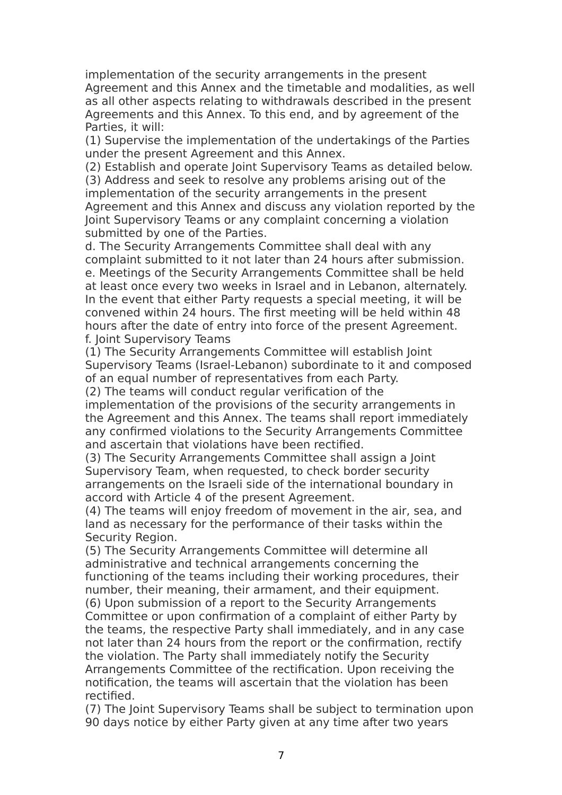implementation of the security arrangements in the present Agreement and this Annex and the timetable and modalities, as well as all other aspects relating to withdrawals described in the present Agreements and this Annex. To this end, and by agreement of the Parties, it will:

(1) Supervise the implementation of the undertakings of the Parties under the present Agreement and this Annex.

(2) Establish and operate Joint Supervisory Teams as detailed below. (3) Address and seek to resolve any problems arising out of the implementation of the security arrangements in the present Agreement and this Annex and discuss any violation reported by the Joint Supervisory Teams or any complaint concerning a violation submitted by one of the Parties.

d. The Security Arrangements Committee shall deal with any complaint submitted to it not later than 24 hours after submission. e. Meetings of the Security Arrangements Committee shall be held at least once every two weeks in Israel and in Lebanon, alternately. In the event that either Party requests a special meeting, it will be convened within 24 hours. The first meeting will be held within 48 hours after the date of entry into force of the present Agreement. f. Joint Supervisory Teams

(1) The Security Arrangements Committee will establish Joint Supervisory Teams (Israel-Lebanon) subordinate to it and composed of an equal number of representatives from each Party.

(2) The teams will conduct regular verification of the implementation of the provisions of the security arrangements in the Agreement and this Annex. The teams shall report immediately any confirmed violations to the Security Arrangements Committee and ascertain that violations have been rectified.

(3) The Security Arrangements Committee shall assign a Joint Supervisory Team, when requested, to check border security arrangements on the Israeli side of the international boundary in accord with Article 4 of the present Agreement.

(4) The teams will enjoy freedom of movement in the air, sea, and land as necessary for the performance of their tasks within the Security Region.

(5) The Security Arrangements Committee will determine all administrative and technical arrangements concerning the functioning of the teams including their working procedures, their number, their meaning, their armament, and their equipment. (6) Upon submission of a report to the Security Arrangements Committee or upon confirmation of a complaint of either Party by the teams, the respective Party shall immediately, and in any case not later than 24 hours from the report or the confirmation, rectify the violation. The Party shall immediately notify the Security Arrangements Committee of the rectification. Upon receiving the notification, the teams will ascertain that the violation has been rectified.

(7) The Joint Supervisory Teams shall be subject to termination upon 90 days notice by either Party given at any time after two years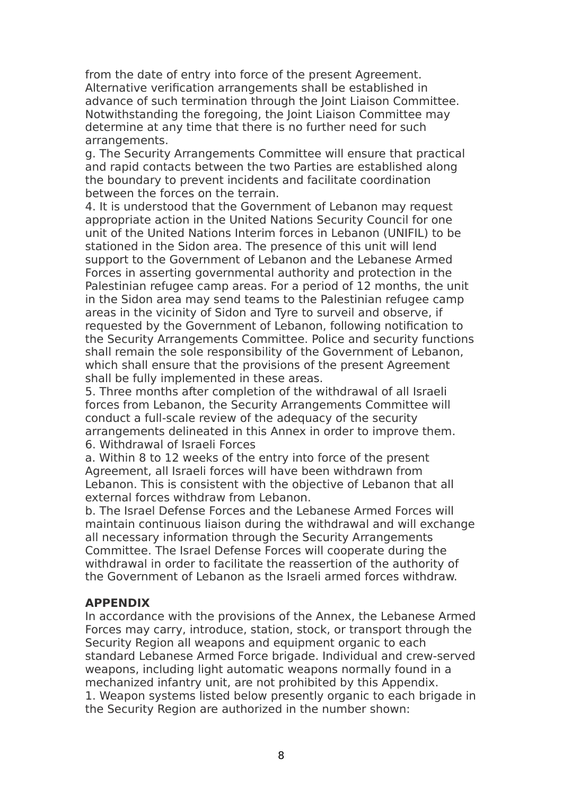from the date of entry into force of the present Agreement. Alternative verification arrangements shall be established in advance of such termination through the Joint Liaison Committee. Notwithstanding the foregoing, the Joint Liaison Committee may determine at any time that there is no further need for such arrangements.

g. The Security Arrangements Committee will ensure that practical and rapid contacts between the two Parties are established along the boundary to prevent incidents and facilitate coordination between the forces on the terrain.

4. It is understood that the Government of Lebanon may request appropriate action in the United Nations Security Council for one unit of the United Nations Interim forces in Lebanon (UNIFIL) to be stationed in the Sidon area. The presence of this unit will lend support to the Government of Lebanon and the Lebanese Armed Forces in asserting governmental authority and protection in the Palestinian refugee camp areas. For a period of 12 months, the unit in the Sidon area may send teams to the Palestinian refugee camp areas in the vicinity of Sidon and Tyre to surveil and observe, if requested by the Government of Lebanon, following notification to the Security Arrangements Committee. Police and security functions shall remain the sole responsibility of the Government of Lebanon, which shall ensure that the provisions of the present Agreement shall be fully implemented in these areas.

5. Three months after completion of the withdrawal of all Israeli forces from Lebanon, the Security Arrangements Committee will conduct a full-scale review of the adequacy of the security arrangements delineated in this Annex in order to improve them. 6. Withdrawal of Israeli Forces

a. Within 8 to 12 weeks of the entry into force of the present Agreement, all Israeli forces will have been withdrawn from Lebanon. This is consistent with the objective of Lebanon that all external forces withdraw from Lebanon.

b. The Israel Defense Forces and the Lebanese Armed Forces will maintain continuous liaison during the withdrawal and will exchange all necessary information through the Security Arrangements Committee. The Israel Defense Forces will cooperate during the withdrawal in order to facilitate the reassertion of the authority of the Government of Lebanon as the Israeli armed forces withdraw.

#### **APPENDIX**

In accordance with the provisions of the Annex, the Lebanese Armed Forces may carry, introduce, station, stock, or transport through the Security Region all weapons and equipment organic to each standard Lebanese Armed Force brigade. Individual and crew-served weapons, including light automatic weapons normally found in a mechanized infantry unit, are not prohibited by this Appendix. 1. Weapon systems listed below presently organic to each brigade in the Security Region are authorized in the number shown: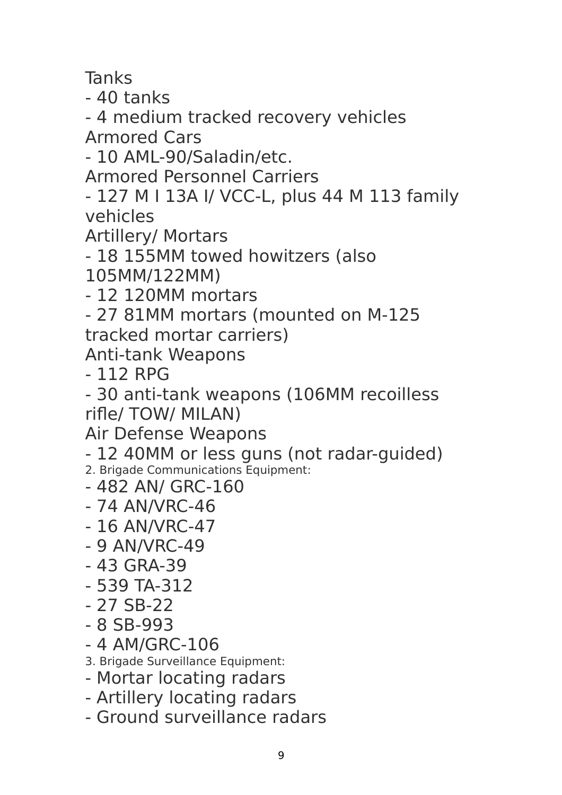**Tanks** 

- 40 tanks

- 4 medium tracked recovery vehicles Armored Cars

- 10 AML-90/Saladin/etc.

Armored Personnel Carriers

- 127 M I 13A I/ VCC-L, plus 44 M 113 family vehicles

Artillery/ Mortars

- 18 155MM towed howitzers (also

105MM/122MM)

- 12 120MM mortars

- 27 81MM mortars (mounted on M-125

tracked mortar carriers)

Anti-tank Weapons

- 112 RPG

- 30 anti-tank weapons (106MM recoilless rifle/ TOW/ MILAN)

Air Defense Weapons

- 12 40MM or less guns (not radar-guided)

2. Brigade Communications Equipment:

- 482 AN/ GRC-160
- 74 AN/VRC-46
- 16 AN/VRC-47
- 9 AN/VRC-49
- 43 GRA-39
- 539 TA-312
- 27 SB-22
- 8 SB-993
- 4 AM/GRC-106

3. Brigade Surveillance Equipment:

- Mortar locating radars
- Artillery locating radars
- Ground surveillance radars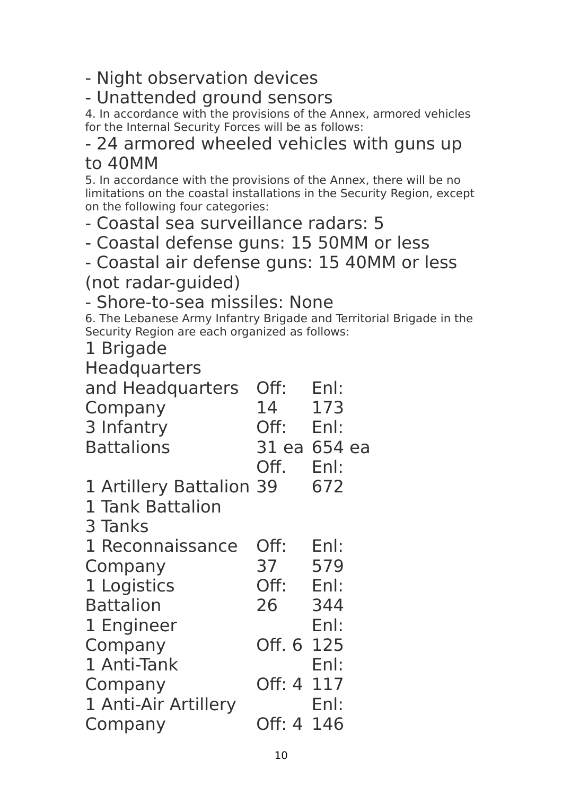- Night observation devices

## - Unattended ground sensors

4. In accordance with the provisions of the Annex, armored vehicles for the Internal Security Forces will be as follows:

### - 24 armored wheeled vehicles with guns up to 40MM

5. In accordance with the provisions of the Annex, there will be no limitations on the coastal installations in the Security Region, except on the following four categories:

- Coastal sea surveillance radars: 5

- Coastal defense guns: 15 50MM or less

- Coastal air defense guns: 15 40MM or less

(not radar-guided)

- Shore-to-sea missiles: None

6. The Lebanese Army Infantry Brigade and Territorial Brigade in the Security Region are each organized as follows:

1 Brigade

**Headquarters** 

| and Headquarters<br>Company | Off:<br>14   | Enl:<br>173 |  |
|-----------------------------|--------------|-------------|--|
| 3 Infantry                  | Off:         | Enl:        |  |
| <b>Battalions</b>           | 31 ea 654 ea |             |  |
|                             |              |             |  |
|                             | Off.         | Enl:        |  |
| 1 Artillery Battalion 39    |              | 672         |  |
| 1 Tank Battalion            |              |             |  |
| 3 Tanks                     |              |             |  |
| 1 Reconnaissance            | Off:         | Enl:        |  |
| Company                     | 37           | 579         |  |
| 1 Logistics                 | Off:         | Enl:        |  |
| <b>Battalion</b>            | 26           | 344         |  |
| 1 Engineer                  |              | Enl:        |  |
| Company                     | Off. 6 125   |             |  |
| 1 Anti-Tank                 |              | Enl:        |  |
| Company                     | Off: 4 117   |             |  |
| 1 Anti-Air Artillery        |              | Enl:        |  |
| Company                     | Off: 4 146   |             |  |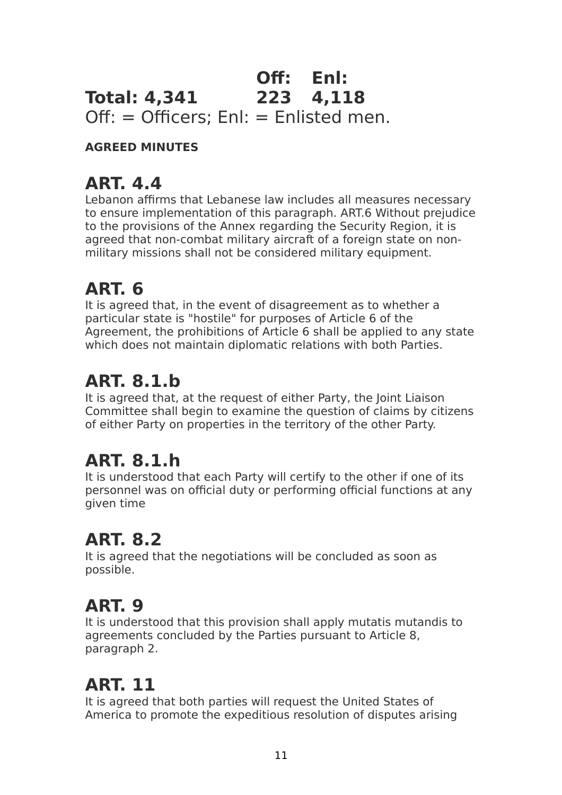### **Total: 4,341 Off: Enl: 223 4,118** Off: = Officers; Enl: = Enlisted men.

### **AGREED MINUTES**

## **ART. 4.4**

Lebanon affirms that Lebanese law includes all measures necessary to ensure implementation of this paragraph. ART.6 Without prejudice to the provisions of the Annex regarding the Security Region, it is agreed that non-combat military aircraft of a foreign state on nonmilitary missions shall not be considered military equipment.

## **ART. 6**

It is agreed that, in the event of disagreement as to whether a particular state is "hostile" for purposes of Article 6 of the Agreement, the prohibitions of Article 6 shall be applied to any state which does not maintain diplomatic relations with both Parties.

# **ART. 8.1.b**

It is agreed that, at the request of either Party, the Joint Liaison Committee shall begin to examine the question of claims by citizens of either Party on properties in the territory of the other Party.

# **ART. 8.1.h**

It is understood that each Party will certify to the other if one of its personnel was on official duty or performing official functions at any given time

## **ART. 8.2**

It is agreed that the negotiations will be concluded as soon as possible.

## **ART. 9**

It is understood that this provision shall apply mutatis mutandis to agreements concluded by the Parties pursuant to Article 8, paragraph 2.

# **ART. 11**

It is agreed that both parties will request the United States of America to promote the expeditious resolution of disputes arising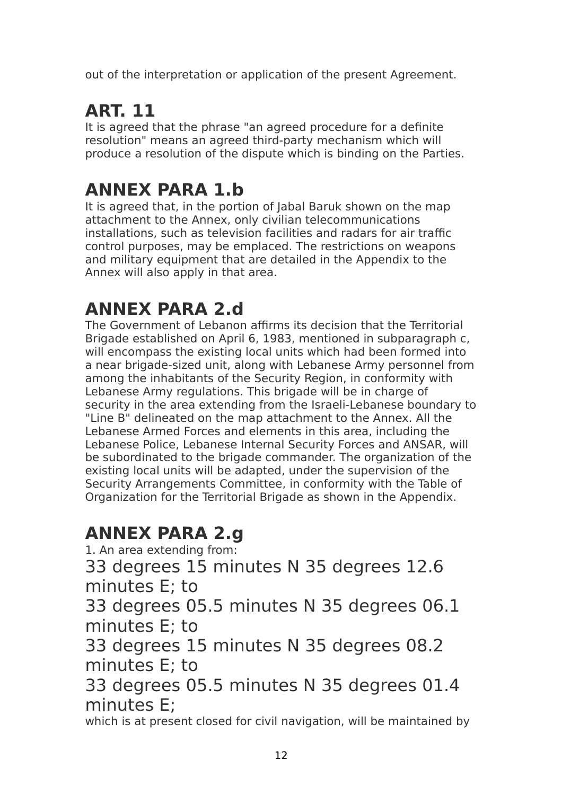out of the interpretation or application of the present Agreement.

# **ART. 11**

It is agreed that the phrase "an agreed procedure for a definite resolution" means an agreed third-party mechanism which will produce a resolution of the dispute which is binding on the Parties.

# **ANNEX PARA 1.b**

It is agreed that, in the portion of Jabal Baruk shown on the map attachment to the Annex, only civilian telecommunications installations, such as television facilities and radars for air traffic control purposes, may be emplaced. The restrictions on weapons and military equipment that are detailed in the Appendix to the Annex will also apply in that area.

# **ANNEX PARA 2.d**

The Government of Lebanon affirms its decision that the Territorial Brigade established on April 6, 1983, mentioned in subparagraph c, will encompass the existing local units which had been formed into a near brigade-sized unit, along with Lebanese Army personnel from among the inhabitants of the Security Region, in conformity with Lebanese Army regulations. This brigade will be in charge of security in the area extending from the Israeli-Lebanese boundary to "Line B" delineated on the map attachment to the Annex. All the Lebanese Armed Forces and elements in this area, including the Lebanese Police, Lebanese Internal Security Forces and ANSAR, will be subordinated to the brigade commander. The organization of the existing local units will be adapted, under the supervision of the Security Arrangements Committee, in conformity with the Table of Organization for the Territorial Brigade as shown in the Appendix.

## **ANNEX PARA 2.g**

1. An area extending from:

33 degrees 15 minutes N 35 degrees 12.6 minutes E; to

33 degrees 05.5 minutes N 35 degrees 06.1 minutes E; to

33 degrees 15 minutes N 35 degrees 08.2 minutes E; to

33 degrees 05.5 minutes N 35 degrees 01.4 minutes E;

which is at present closed for civil navigation, will be maintained by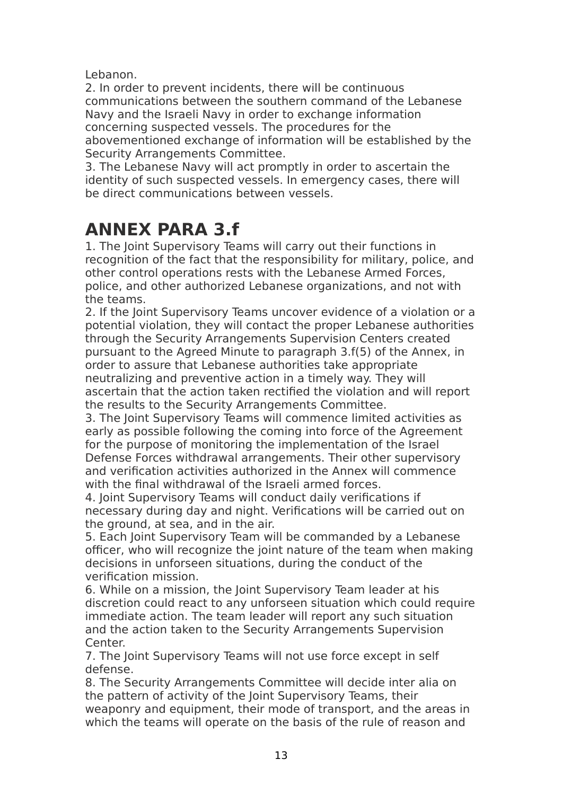Lebanon.

2. In order to prevent incidents, there will be continuous communications between the southern command of the Lebanese Navy and the Israeli Navy in order to exchange information concerning suspected vessels. The procedures for the abovementioned exchange of information will be established by the Security Arrangements Committee.

3. The Lebanese Navy will act promptly in order to ascertain the identity of such suspected vessels. In emergency cases, there will be direct communications between vessels.

## **ANNEX PARA 3.f**

1. The Joint Supervisory Teams will carry out their functions in recognition of the fact that the responsibility for military, police, and other control operations rests with the Lebanese Armed Forces, police, and other authorized Lebanese organizations, and not with the teams.

2. If the Joint Supervisory Teams uncover evidence of a violation or a potential violation, they will contact the proper Lebanese authorities through the Security Arrangements Supervision Centers created pursuant to the Agreed Minute to paragraph 3.f(5) of the Annex, in order to assure that Lebanese authorities take appropriate neutralizing and preventive action in a timely way. They will ascertain that the action taken rectified the violation and will report the results to the Security Arrangements Committee.

3. The Joint Supervisory Teams will commence limited activities as early as possible following the coming into force of the Agreement for the purpose of monitoring the implementation of the Israel Defense Forces withdrawal arrangements. Their other supervisory and verification activities authorized in the Annex will commence with the final withdrawal of the Israeli armed forces.

4. Joint Supervisory Teams will conduct daily verifications if necessary during day and night. Verifications will be carried out on the ground, at sea, and in the air.

5. Each Joint Supervisory Team will be commanded by a Lebanese officer, who will recognize the joint nature of the team when making decisions in unforseen situations, during the conduct of the verification mission.

6. While on a mission, the Joint Supervisory Team leader at his discretion could react to any unforseen situation which could require immediate action. The team leader will report any such situation and the action taken to the Security Arrangements Supervision Center.

7. The Joint Supervisory Teams will not use force except in self defense.

8. The Security Arrangements Committee will decide inter alia on the pattern of activity of the Joint Supervisory Teams, their weaponry and equipment, their mode of transport, and the areas in which the teams will operate on the basis of the rule of reason and